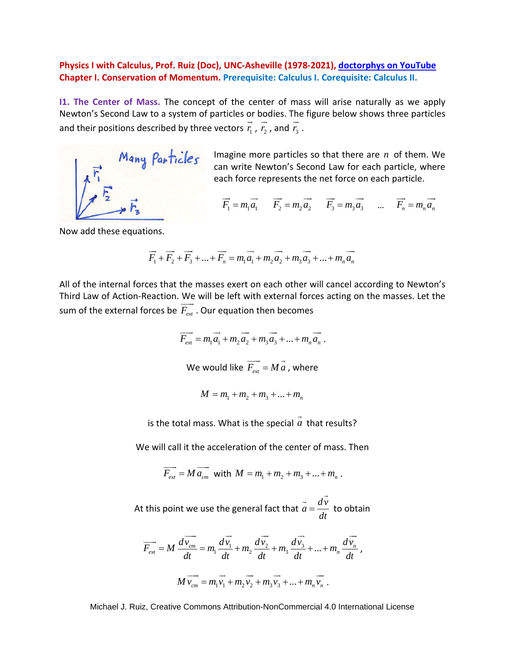## **Physics I with Calculus, Prof. Ruiz (Doc), UNC-Asheville (1978-2021), [doctorphys on YouTube](https://www.youtube.com/user/doctorphys) Chapter I. Conservation of Momentum. Prerequisite: Calculus I. Corequisite: Calculus II.**

**I1. The Center of Mass.** The concept of the center of mass will arise naturally as we apply Newton's Second Law to a system of particles or bodies. The figure below shows three particles and their positions described by three vectors  $r_{\rm i}$  $\rightarrow$ ,  $r_2$  $\tilde{-}$ , and  $r_3$  $\ddot{\ }$ .



Imagine more particles so that there are *n* of them. We can write Newton's Second Law for each particle, where each force represents the net force on each particle.

 $F_1 = m_1 a_1$  $\Rightarrow$  $F_2 = m_2 a_2$  $\Rightarrow$  $F_3 = m_3 a_3$  $\Rightarrow$ ...  $F_n = m_n a_n$  $\Rightarrow$ 

Now add these equations.

$$
\overrightarrow{F_1} + \overrightarrow{F_2} + \overrightarrow{F_3} + \dots + \overrightarrow{F_n} = m_1 \overrightarrow{a_1} + m_2 \overrightarrow{a_2} + m_3 \overrightarrow{a_3} + \dots + m_n \overrightarrow{a_n}
$$

All of the internal forces that the masses exert on each other will cancel according to Newton's Third Law of Action-Reaction. We will be left with external forces acting on the masses. Let the sum of the external forces be  $F_{ext}$  $\frac{1}{2}$ . Our equation then becomes

$$
\overrightarrow{F_{ext}} = m_1 \overrightarrow{a_1} + m_2 \overrightarrow{a_2} + m_3 \overrightarrow{a_3} + \dots + m_n \overrightarrow{a_n}.
$$
  
We would like 
$$
\overrightarrow{F_{ext}} = M \overrightarrow{a}
$$
, where

$$
M = m_1 + m_2 + m_3 + \dots + m_n
$$

is the total mass. What is the special *a*  $\rightarrow$ that results?

We will call it the acceleration of the center of mass. Then

$$
\overrightarrow{F_{ext}} = M \overrightarrow{a_{cm}} \text{ with } M = m_1 + m_2 + m_3 + \dots + m_n.
$$

At this point we use the general fact that  $\vec{a} = \frac{dv}{dt}$ *dt*  $=$  $\overrightarrow{dv}$ to obtain

$$
\overrightarrow{F_{ext}} = M \frac{d\overrightarrow{v_{cm}}}{dt} = m_1 \frac{d\overrightarrow{v_1}}{dt} + m_2 \frac{d\overrightarrow{v_2}}{dt} + m_3 \frac{d\overrightarrow{v_3}}{dt} + \dots + m_n \frac{d\overrightarrow{v_n}}{dt},
$$
  

$$
M \overrightarrow{v_{cm}} = m_1 \overrightarrow{v_1} + m_2 \overrightarrow{v_2} + m_3 \overrightarrow{v_3} + \dots + m_n \overrightarrow{v_n}.
$$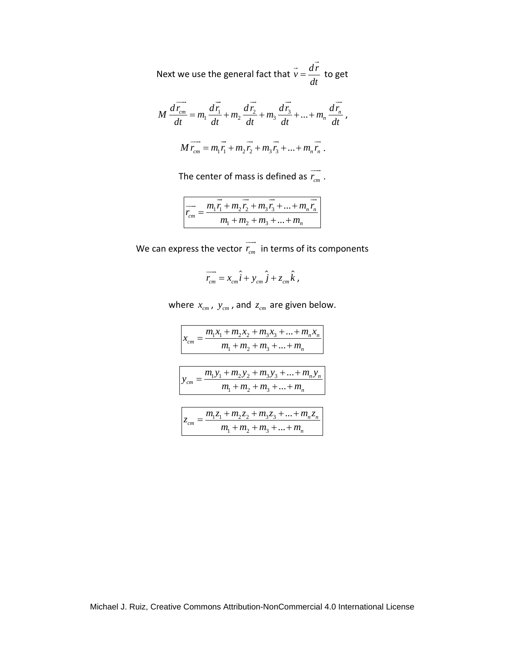Next we use the general fact that  $\vec{v} = \frac{dr}{dt}$  to *dt*  $=$  $\overrightarrow{dr}$ to get

$$
M \frac{d\vec{r}_{cm}}{dt} = m_1 \frac{d\vec{r}_1}{dt} + m_2 \frac{d\vec{r}_2}{dt} + m_3 \frac{d\vec{r}_3}{dt} + ... + m_n \frac{d\vec{r}_n}{dt},
$$
  

$$
M \vec{r}_{cm} = m_1 \vec{r}_1 + m_2 \vec{r}_2 + m_3 \vec{r}_3 + ... + m_n \vec{r}_n.
$$

The center of mass is defined as  $r_{cm}$  $\overline{\phantom{a}}$ 

.

$$
\overrightarrow{r_{cm}} = \frac{\overrightarrow{n_1r_1} + \overrightarrow{n_2r_2} + \overrightarrow{n_3r_3} + \dots + \overrightarrow{n_nr_n}}{m_1 + m_2 + m_3 + \dots + m_n}
$$

We can express the vector  $r_{cm}$  $\overline{\phantom{a}}$ in terms of its components

$$
\overrightarrow{r_{cm}} = x_{cm}\hat{i} + y_{cm}\hat{j} + z_{cm}\hat{k},
$$

where  $x_{cm}$ ,  $y_{cm}$ , and  $z_{cm}$  are given below.

$$
x_{cm} = \frac{m_1 x_1 + m_2 x_2 + m_3 x_3 + \dots + m_n x_n}{m_1 + m_2 + m_3 + \dots + m_n}
$$

$$
y_{cm} = \frac{m_1 y_1 + m_2 y_2 + m_3 y_3 + \dots + m_n y_n}{m_1 + m_2 + m_3 + \dots + m_n}
$$

$$
z_{cm} = \frac{m_1 z_1 + m_2 z_2 + m_3 z_3 + \dots + m_n z_n}{m_1 + m_2 + m_3 + \dots + m_n}
$$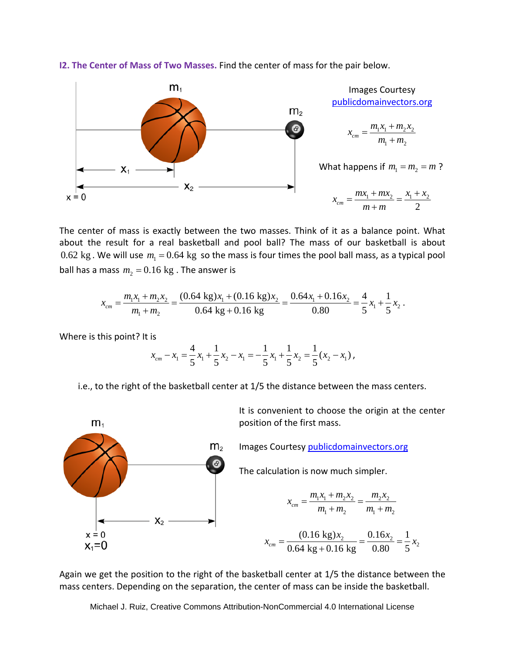

**I2. The Center of Mass of Two Masses.** Find the center of mass for the pair below.

The center of mass is exactly between the two masses. Think of it as a balance point. What about the result for a real basketball and pool ball? The mass of our basketball is about 0.62 kg . We will use  $m_1 = 0.64$  kg so the mass is four times the pool ball mass, as a typical pool ball has a mass  $m<sub>2</sub> = 0.16$  kg. The answer is

$$
x_{cm} = \frac{m_1 x_1 + m_2 x_2}{m_1 + m_2} = \frac{(0.64 \text{ kg}) x_1 + (0.16 \text{ kg}) x_2}{0.64 \text{ kg} + 0.16 \text{ kg}} = \frac{0.64 x_1 + 0.16 x_2}{0.80} = \frac{4}{5} x_1 + \frac{1}{5} x_2.
$$

Where is this point? It is

 $m<sub>1</sub>$ 

$$
x_{cm} - x_1 = \frac{4}{5}x_1 + \frac{1}{5}x_2 - x_1 = -\frac{1}{5}x_1 + \frac{1}{5}x_2 = \frac{1}{5}(x_2 - x_1),
$$

i.e., to the right of the basketball center at 1/5 the distance between the mass centers.

It is convenient to choose the origin at the center position of the first mass.

 $m<sub>2</sub>$ Images Courtesy [publicdomainvectors.org](https://publicdomainvectors.org/)  $\bm{\bm{\circ}}$ The calculation is now much simpler.  $x_{cm} = \frac{m_1 x_1 + m_2 x_2}{m_1 x_2} = \frac{m_2 x_2}{m_2 x_2}$  $=\frac{m_1x_1+m_2x_2}{m_1x_2}$  $1^{\lambda_1 + \mu_2 \lambda_2} - \mu_2 \lambda_2$ *cm*  $m_1 + m_2$   $m_1 + m_2$  $+m_2$   $m_1 +$  $1 + m_2$   $m_1 + m_2$  $X_2$  $x = 0$  $x_{cm} = \frac{(0.16 \text{ kg})x_2}{2 \times 10^{-11} \text{ kg}} = \frac{0.16x_2}{2 \times 10^{-11} \text{ kg}} = \frac{1}{2}x_2$  $(0.16 \text{ kg})x_2$   $0.16x_2$  1  $\frac{2}{5}$  =  $\frac{0.10x_2}{0.80}$  =  $\frac{1}{5}x_2$  $x_1=0$  $\frac{cm}{cm}$   $-$  0.64 kg + 0.16 kg  $-$  0.80  $-$  5<sup> $\lambda$ 2</sup>  $^{+}$ 

Again we get the position to the right of the basketball center at 1/5 the distance between the mass centers. Depending on the separation, the center of mass can be inside the basketball.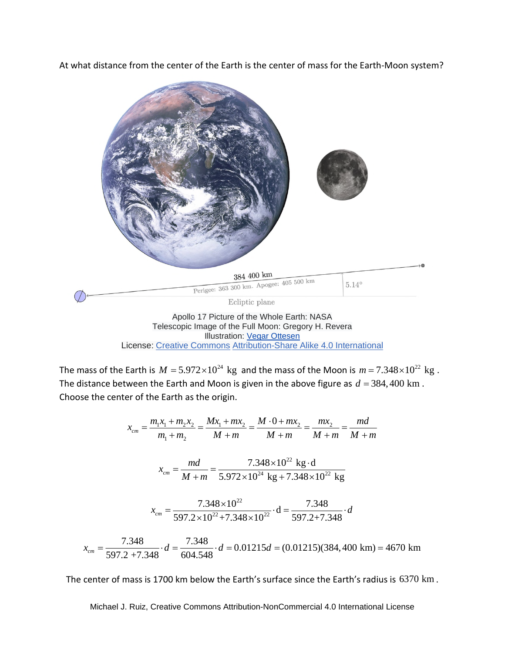At what distance from the center of the Earth is the center of mass for the Earth-Moon system?



License: [Creative Commons](https://en.wikipedia.org/wiki/en:Creative_Commons) [Attribution-Share Alike 4.0 International](https://creativecommons.org/licenses/by-sa/4.0/deed.en)

The mass of the Earth is  $M = 5.972 \times 10^{24}$  kg and the mass of the Moon is  $m = 7.348 \times 10^{22}$  kg. The distance between the Earth and Moon is given in the above figure as  $d = 384,400$  km. Choose the center of the Earth as the origin.

$$
x_{cm} = \frac{m_1 x_1 + m_2 x_2}{m_1 + m_2} = \frac{M x_1 + m x_2}{M + m} = \frac{M \cdot 0 + m x_2}{M + m} = \frac{m x_2}{M + m} = \frac{md}{M + m}
$$
  

$$
x_{cm} = \frac{md}{M + m} = \frac{7.348 \times 10^{22} \text{ kg} \cdot \text{d}}{5.972 \times 10^{24} \text{ kg} + 7.348 \times 10^{22} \text{ kg}}
$$
  

$$
x_{cm} = \frac{7.348 \times 10^{22}}{597.2 \times 10^{22} + 7.348 \times 10^{22}} \cdot \text{d} = \frac{7.348}{597.2 + 7.348} \cdot d
$$
  

$$
x_{cm} = \frac{7.348}{597.2 + 7.348} \cdot d = \frac{7.348}{604.548} \cdot d = 0.01215d = (0.01215)(384,400 \text{ km}) = 4670 \text{ km}
$$

The center of mass is 1700 km below the Earth's surface since the Earth's radius is 6370 km .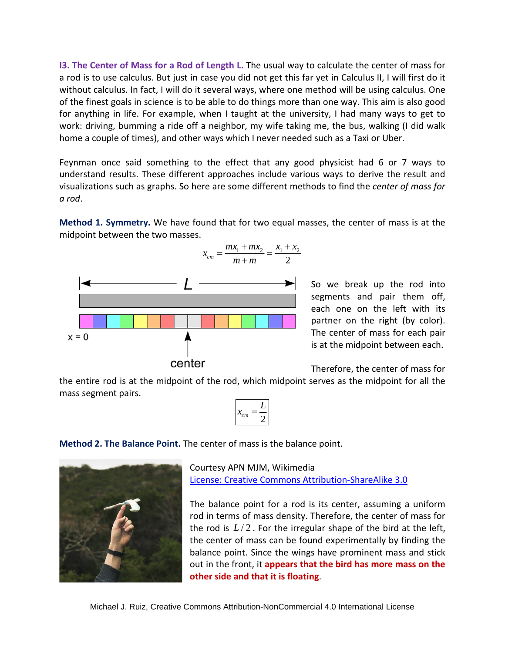**I3. The Center of Mass for a Rod of Length L.** The usual way to calculate the center of mass for a rod is to use calculus. But just in case you did not get this far yet in Calculus II, I will first do it without calculus. In fact, I will do it several ways, where one method will be using calculus. One of the finest goals in science is to be able to do things more than one way. This aim is also good for anything in life. For example, when I taught at the university, I had many ways to get to work: driving, bumming a ride off a neighbor, my wife taking me, the bus, walking (I did walk home a couple of times), and other ways which I never needed such as a Taxi or Uber.

Feynman once said something to the effect that any good physicist had 6 or 7 ways to understand results. These different approaches include various ways to derive the result and visualizations such as graphs. So here are some different methods to find the *center of mass for a rod*.

**Method 1. Symmetry.** We have found that for two equal masses, the center of mass is at the midpoint between the two masses.



So we break up the rod into segments and pair them off, each one on the left with its partner on the right (by color). The center of mass for each pair is at the midpoint between each.

Therefore, the center of mass for

the entire rod is at the midpoint of the rod, which midpoint serves as the midpoint for all the mass segment pairs.

$$
x_{cm} = \frac{L}{2}
$$

**Method 2. The Balance Point.** The center of mass is the balance point.



Courtesy APN MJM, Wikimedia [License: Creative Commons Attribution-ShareAlike 3.0](https://creativecommons.org/licenses/by-sa/3.0/deed.en)

The balance point for a rod is its center, assuming a uniform rod in terms of mass density. Therefore, the center of mass for the rod is  $L/2$ . For the irregular shape of the bird at the left, the center of mass can be found experimentally by finding the balance point. Since the wings have prominent mass and stick out in the front, it **appears that the bird has more mass on the other side and that it is floating**.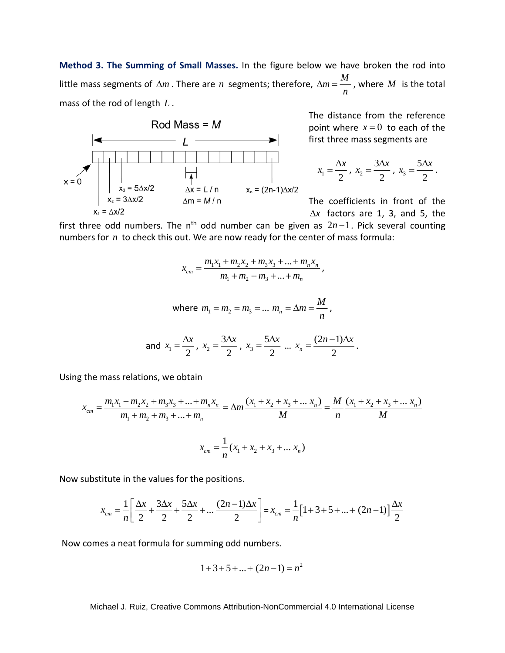**Method 3. The Summing of Small Masses.** In the figure below we have broken the rod into little mass segments of  $\Delta m$  . There are *n* segments; therefore,  $\Delta m = \frac{M}{m}$ *n*  $\Delta m = \frac{m}{m}$ , where *M* is the total mass of the rod of length *L* .



The distance from the reference point where  $x = 0$  to each of the first three mass segments are

$$
x_1 = \frac{\Delta x}{2}
$$
,  $x_2 = \frac{3\Delta x}{2}$ ,  $x_3 = \frac{5\Delta x}{2}$ .

The coefficients in front of the  $\Delta x$  factors are 1, 3, and 5, the

,

first three odd numbers. The n<sup>th</sup> odd number can be given as  $2n-1$ . Pick several counting numbers for *n* to check this out. We are now ready for the center of mass formula:

$$
x_{cm} = \frac{m_1 x_1 + m_2 x_2 + m_3 x_3 + \dots + m_n x_n}{m_1 + m_2 + m_3 + \dots + m_n},
$$

where 
$$
m_1 = m_2 = m_3 = ... m_n = \Delta m = \frac{M}{n}
$$
,

and 
$$
x_1 = \frac{\Delta x}{2}
$$
,  $x_2 = \frac{3\Delta x}{2}$ ,  $x_3 = \frac{5\Delta x}{2}$  ...  $x_n = \frac{(2n-1)\Delta x}{2}$ .

Using the mass relations, we obtain

$$
x_{cm} = \frac{m_1 x_1 + m_2 x_2 + m_3 x_3 + \dots + m_n x_n}{m_1 + m_2 + m_3 + \dots + m_n} = \Delta m \frac{(x_1 + x_2 + x_3 + \dots + x_n)}{M} = \frac{M}{n} \frac{(x_1 + x_2 + x_3 + \dots + x_n)}{M}
$$

$$
x_{cm} = \frac{1}{n} (x_1 + x_2 + x_3 + \dots + x_n)
$$

Now substitute in the values for the positions.

$$
x_{cm} = \frac{1}{n} \left[ \frac{\Delta x}{2} + \frac{3\Delta x}{2} + \frac{5\Delta x}{2} + \dots \frac{(2n-1)\Delta x}{2} \right] = x_{cm} = \frac{1}{n} \left[ 1 + 3 + 5 + \dots + (2n-1) \right] \frac{\Delta x}{2}
$$

Now comes a neat formula for summing odd numbers.

$$
1+3+5+\ldots+(2n-1)=n^2
$$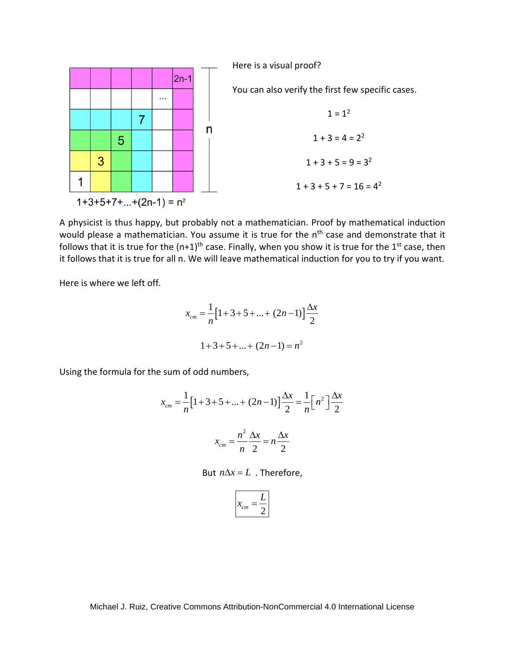

A physicist is thus happy, but probably not a mathematician. Proof by mathematical induction would please a mathematician. You assume it is true for the n<sup>th</sup> case and demonstrate that it follows that it is true for the  $(n+1)^{\text{th}}$  case. Finally, when you show it is true for the 1<sup>st</sup> case, then it follows that it is true for all n. We will leave mathematical induction for you to try if you want.

Here is where we left off.

$$
x_{cm} = \frac{1}{n} [1 + 3 + 5 + \dots + (2n - 1)] \frac{\Delta x}{2}
$$
  

$$
1 + 3 + 5 + \dots + (2n - 1) = n^2
$$

Using the formula for the sum of odd numbers,

$$
x_{cm} = \frac{1}{n} \Big[ 1 + 3 + 5 + \dots + (2n - 1) \Big] \frac{\Delta x}{2} = \frac{1}{n} \Big[ n^2 \Big] \frac{\Delta x}{2}
$$

$$
x_{cm} = \frac{n^2}{n} \frac{\Delta x}{2} = n \frac{\Delta x}{2}
$$

But 
$$
n\Delta x = L
$$
. Therefore,

$$
x_{cm} = \frac{L}{2}
$$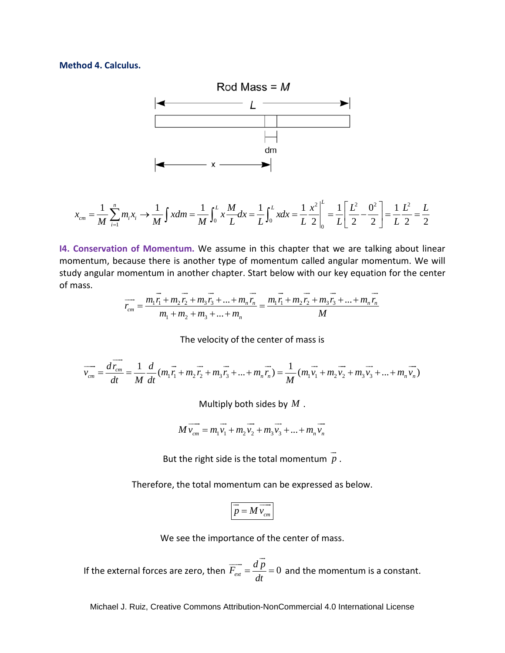## **Method 4. Calculus.**



$$
x_{cm} = \frac{1}{M} \sum_{i=1}^{n} m_i x_i \rightarrow \frac{1}{M} \int x dm = \frac{1}{M} \int_0^L x \frac{M}{L} dx = \frac{1}{L} \int_0^L x dx = \frac{1}{L} \frac{x^2}{2} \Big|_0^L = \frac{1}{L} \Big[ \frac{L^2}{2} - \frac{0^2}{2} \Big] = \frac{1}{L} \frac{L^2}{2} = \frac{L}{2}
$$

**I4. Conservation of Momentum.** We assume in this chapter that we are talking about linear momentum, because there is another type of momentum called angular momentum. We will study angular momentum in another chapter. Start below with our key equation for the center of mass.

$$
\overrightarrow{r_{cm}} = \frac{m_1 \overrightarrow{r_1} + m_2 \overrightarrow{r_2} + m_3 \overrightarrow{r_3} + \dots + m_n \overrightarrow{r_n}}{m_1 + m_2 + m_3 + \dots + m_n} = \frac{m_1 \overrightarrow{r_1} + m_2 \overrightarrow{r_2} + m_3 \overrightarrow{r_3} + \dots + m_n \overrightarrow{r_n}}{M}
$$

The velocity of the center of mass is

$$
\overrightarrow{v_{cm}} = \frac{d\overrightarrow{r_{cm}}}{dt} = \frac{1}{M}\frac{d}{dt}(m_1\overrightarrow{r_1} + m_2\overrightarrow{r_2} + m_3\overrightarrow{r_3} + ... + m_n\overrightarrow{r_n}) = \frac{1}{M}(m_1\overrightarrow{v_1} + m_2\overrightarrow{v_2} + m_3\overrightarrow{v_3} + ... + m_n\overrightarrow{v_n})
$$

Multiply both sides by *M* .

$$
M\overrightarrow{v_{cm}} = m_1\overrightarrow{v_1} + m_2\overrightarrow{v_2} + m_3\overrightarrow{v_3} + \dots + m_n\overrightarrow{v_n}
$$

But the right side is the total momentum *p*  $\rightarrow$ .

Therefore, the total momentum can be expressed as below.

$$
\overrightarrow{p} = M \overrightarrow{v_{cm}}
$$

We see the importance of the center of mass.

If the external forces are zero, then  $\overrightarrow{F_{ext}} = \frac{dp}{dt} = 0$ *dt*  $=\frac{u p}{\dot{ }}$  =  $\overrightarrow{a}$ and the momentum is a constant.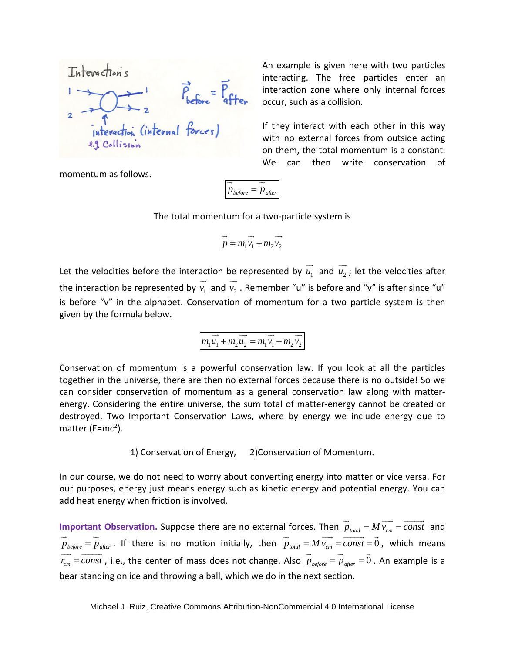| Interactions | $\overrightarrow{P}_{before} = \overrightarrow{P}_{after}$ |
|--------------|------------------------------------------------------------|
| 2            | interaction (internal forces)                              |
| 2.3          | Collision                                                  |

An example is given here with two particles interacting. The free particles enter an interaction zone where only internal forces occur, such as a collision.

If they interact with each other in this way with no external forces from outside acting on them, the total momentum is a constant. We can then write conservation of

momentum as follows.

$$
\overrightarrow{p}_{before} = \overrightarrow{p}_{after}
$$

The total momentum for a two-particle system is

$$
\overrightarrow{p} = m_1 \overrightarrow{v_1} + m_2 \overrightarrow{v_2}
$$

Let the velocities before the interaction be represented by  $u_{\rm 1}$  $\rightarrow$ and  $u_2$  $\overline{\phantom{a}}$ ; let the velocities after the interaction be represented by  $v_1$  $\rightarrow$ and  $v_2$  $\overline{\phantom{a}}$ . Remember "u" is before and "v" is after since "u" is before "v" in the alphabet. Conservation of momentum for a two particle system is then given by the formula below.

$$
m_1\overrightarrow{u_1} + m_2\overrightarrow{u_2} = m_1\overrightarrow{v_1} + m_2\overrightarrow{v_2}
$$

Conservation of momentum is a powerful conservation law. If you look at all the particles together in the universe, there are then no external forces because there is no outside! So we can consider conservation of momentum as a general conservation law along with matterenergy. Considering the entire universe, the sum total of matter-energy cannot be created or destroyed. Two Important Conservation Laws, where by energy we include energy due to matter (E=mc<sup>2</sup>).

1) Conservation of Energy, 2)Conservation of Momentum.

In our course, we do not need to worry about converting energy into matter or vice versa. For our purposes, energy just means energy such as kinetic energy and potential energy. You can add heat energy when friction is involved.

**Important Observation.** Suppose there are no external forces. Then  $p_{\text{total}} = M v_{\text{cm}} = const$  $\rightarrow$   $\rightarrow$   $\rightarrow$  and  $p_{before} = p_{after}$  $\rightarrow$   $\rightarrow$ . If there is no motion initially, then  $p_{total} = M v_{cm} = const = 0$  $\rightarrow$   $\rightarrow$   $\rightarrow$   $\rightarrow$   $\rightarrow$   $\rightarrow$ , which means  $r_{cm} = const$  $\rightarrow$   $\rightarrow$   $\rightarrow$ , i.e., the center of mass does not change. Also  $p_{\textit{before}} = p_{\textit{after}} = 0$  $\rightarrow$   $\rightarrow$   $\rightarrow$ . An example is a bear standing on ice and throwing a ball, which we do in the next section.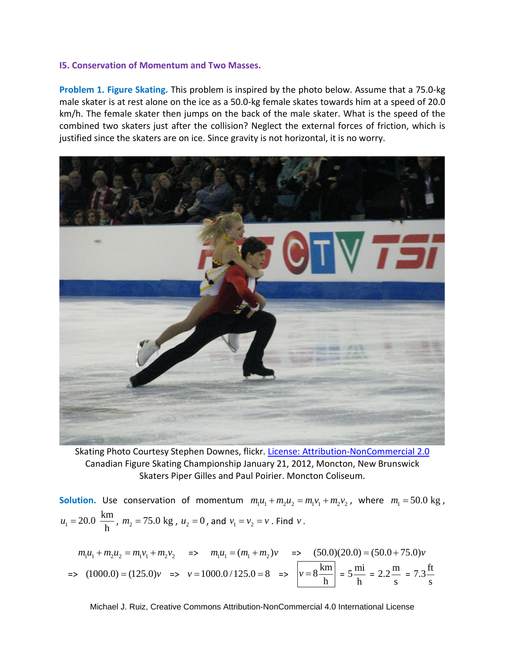## **I5. Conservation of Momentum and Two Masses.**

**Problem 1. Figure Skating.** This problem is inspired by the photo below. Assume that a 75.0-kg male skater is at rest alone on the ice as a 50.0-kg female skates towards him at a speed of 20.0 km/h. The female skater then jumps on the back of the male skater. What is the speed of the combined two skaters just after the collision? Neglect the external forces of friction, which is justified since the skaters are on ice. Since gravity is not horizontal, it is no worry.



Skating Photo Courtesy Stephen Downes, flickr. [License: Attribution-NonCommercial 2.0](https://creativecommons.org/licenses/by-nc/2.0/) Canadian Figure Skating Championship January 21, 2012, Moncton, New Brunswick Skaters Piper Gilles and Paul Poirier. Moncton Coliseum.

**Solution.** Use conservation of momentum  $m_1u_1 + m_2u_2 = m_1v_1 + m_2v_2$ , where  $m_1 = 50.0$  kg,  $k_1 = 20.0 \frac{\text{km}}{\text{h}}$  $u_1 = 20.0 \frac{\text{km}}{\text{h}}$ ,  $m_2 = 75.0 \text{ kg}$ ,  $u_2 = 0$ , and  $v_1 = v_2 = v$ . Find *v*.

 $m_1u_1 + m_2u_2 = m_1v_1 + m_2v_2$   $\Rightarrow m_1u_1 = (m_1 + m_2)v$   $\Rightarrow (50.0)(20.0) = (50.0 + 75.0)v$  $=$  (1000.0)  $=(125.0)v = v = 1000.0 / 125.0 = 8$   $=$   $v = 8 \frac{\text{km}}{10.00}$ h  $v = 8 \frac{\text{km}}{1}$  =  $5 \frac{\text{mi}}{\text{m}}$ h =  $2.2 \frac{\text{m}}{\text{}}$ s  $= 7.3 \frac{\text{ft}}{\text{}}$ s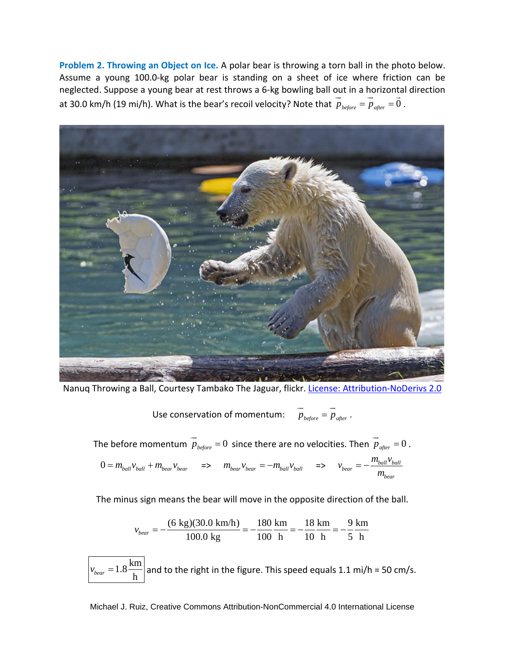**Problem 2. Throwing an Object on Ice.** A polar bear is throwing a torn ball in the photo below. Assume a young 100.0-kg polar bear is standing on a sheet of ice where friction can be neglected. Suppose a young bear at rest throws a 6-kg bowling ball out in a horizontal direction at 30.0 km/h (19 mi/h). What is the bear's recoil velocity? Note that  $\,p_{_{before}}=p_{_{after}}=0$  $\rightarrow$   $\rightarrow$   $\rightarrow$ .



Nanuq Throwing a Ball, Courtesy Tambako The Jaguar, flickr[. License: Attribution-NoDerivs 2.0](https://creativecommons.org/licenses/by-nd/2.0/)

Use conservation of momentum:  $p_{before} = p_{after}$  $\rightarrow$ .

The before momentum  $\overline{p}_{\textit{before}} = 0$  $\rightarrow$ since there are no velocities. Then  $p_{after} = 0$  $\rightarrow$ .  $0 = m_{ball}v_{ball} + m_{beam}v_{beam}$  =>  $m_{beam}v_{beam} = -m_{ball}v_{ball}$  =>  $v_{beam} = -\frac{m_{ball}v_{ball}}{m_{beam}}$ *bear*  $v_{\text{hear}} = -\frac{m_{ball}v_{ball}}{m_{ball}}$ *m*  $=-$ 

The minus sign means the bear will move in the opposite direction of the ball.

$$
v_{\text{bear}} = -\frac{(6 \text{ kg})(30.0 \text{ km/h})}{100.0 \text{ kg}} = -\frac{180 \text{ km}}{100 \text{ h}} = -\frac{18 \text{ km}}{10 \text{ h}} = -\frac{9 \text{ km}}{5 \text{ h}}
$$

 $1.8\frac{\text{km}}{1}$  $v_{\text{bear}} = 1.8 \frac{\text{km}}{\text{h}}$  and to the right in the figure. This speed equals 1.1 mi/h = 50 cm/s.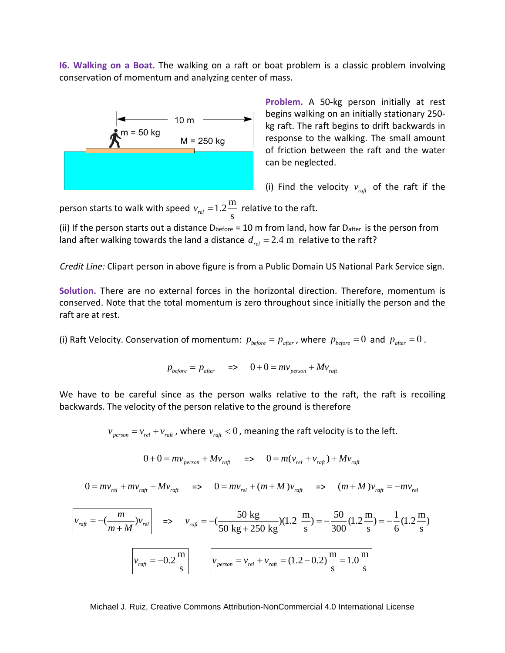**I6. Walking on a Boat.** The walking on a raft or boat problem is a classic problem involving conservation of momentum and analyzing center of mass.



**Problem.** A 50-kg person initially at rest begins walking on an initially stationary 250 kg raft. The raft begins to drift backwards in response to the walking. The small amount of friction between the raft and the water can be neglected.

(i) Find the velocity  $v_{\text{ref}}$  of the raft if the

person starts to walk with speed  $v_{rel} = 1.2 \frac{\text{m}}{\text{m}}$  $v_{rel} = 1.2 \frac{m}{s}$  relative to the raft.

(ii) If the person starts out a distance  $D_{before} = 10$  m from land, how far  $D_{after}$  is the person from land after walking towards the land a distance  $d_{rel} = 2.4$  m relative to the raft?

*Credit Line:* Clipart person in above figure is from a Public Domain US National Park Service sign.

**Solution.** There are no external forces in the horizontal direction. Therefore, momentum is conserved. Note that the total momentum is zero throughout since initially the person and the raft are at rest.

(i) Raft Velocity. Conservation of momentum:  $p_{before} = p_{after}$ , where  $p_{before} = 0$  and  $p_{after} = 0$ .

$$
p_{before} = p_{after} \quad \Rightarrow \quad 0 + 0 = mv_{person} + Mv_{raft}
$$

We have to be careful since as the person walks relative to the raft, the raft is recoiling backwards. The velocity of the person relative to the ground is therefore

 $v_{person} = v_{rel} + v_{raft}$ , where  $v_{raft} < 0$ , meaning the raft velocity is to the left.

$$
0 + 0 = mv_{person} + Mv_{raft} \quad \Rightarrow \quad 0 = m(v_{rel} + v_{raft}) + Mv_{raft}
$$

$$
0 = m v_{rel} + m v_{r aft} + M v_{r aft} \quad \Rightarrow \quad 0 = m v_{rel} + (m + M) v_{r aft} \quad \Rightarrow \quad (m + M) v_{r aft} = -m v_{rel}
$$

$$
\boxed{v_{\text{raf}} = -\left(\frac{m}{m+M}\right)v_{\text{rel}}}
$$
\n
$$
= \n\begin{cases}\n\text{v}_{\text{raf}} = -\left(\frac{50 \text{ kg}}{50 \text{ kg} + 250 \text{ kg}}\right)(1.2 \frac{\text{m}}{\text{s}}) = -\frac{50}{300}(1.2 \frac{\text{m}}{\text{s}}) = -\frac{1}{6}(1.2 \frac{\text{m}}{\text{s}})
$$
\n
$$
\boxed{v_{\text{raf}} = -0.2 \frac{\text{m}}{\text{s}}} \qquad \boxed{v_{\text{person}} = v_{\text{rel}} + v_{\text{raf}} = (1.2 - 0.2) \frac{\text{m}}{\text{s}} = 1.0 \frac{\text{m}}{\text{s}}}
$$

Michael J. Ruiz, Creative Commons Attribution-NonCommercial 4.0 International License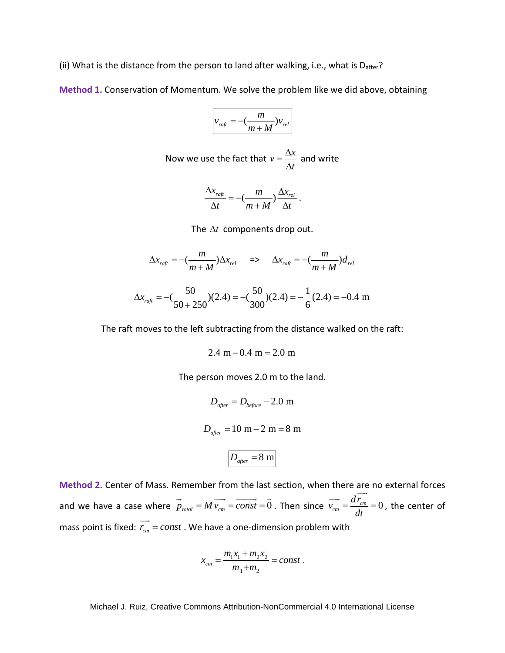(ii) What is the distance from the person to land after walking, i.e., what is  $D_{after}$ ?

**Method 1.** Conservation of Momentum. We solve the problem like we did above, obtaining

$$
v_{\text{raft}} = -\left(\frac{m}{m+M}\right)v_{\text{rel}}
$$

Now we use the fact that 
$$
v = \frac{\Delta x}{\Delta t}
$$
 and write

$$
\frac{\Delta x_{\text{raft}}}{\Delta t} = -\left(\frac{m}{m+M}\right) \frac{\Delta x_{\text{rel}}}{\Delta t}.
$$

The  $\Delta t$  components drop out.

$$
\Delta x_{\text{raft}} = -\left(\frac{m}{m+M}\right) \Delta x_{\text{rel}} \quad \Rightarrow \quad \Delta x_{\text{raft}} = -\left(\frac{m}{m+M}\right) d_{\text{rel}}
$$

$$
\Delta x_{\text{rafi}} = -\left(\frac{50}{50 + 250}\right)(2.4) = -\left(\frac{50}{300}\right)(2.4) = -\frac{1}{6}(2.4) = -0.4 \text{ m}
$$

The raft moves to the left subtracting from the distance walked on the raft:

$$
2.4 m - 0.4 m = 2.0 m
$$

The person moves 2.0 m to the land.

$$
D_{after} = D_{before} - 2.0 \text{ m}
$$
  

$$
D_{after} = 10 \text{ m} - 2 \text{ m} = 8 \text{ m}
$$
  

$$
D_{after} = 8 \text{ m}
$$

**Method 2.** Center of Mass. Remember from the last section, when there are no external forces and we have a case where  $p_{\text{total}} = M v_{\text{cm}} = const = 0$  $\rightarrow$   $\rightarrow$   $\rightarrow$   $\rightarrow$   $\rightarrow$ . Then since  $v_{cm} = \frac{a_1}{\mu} = 0$  $\frac{d}{v_{cm}} = \frac{dr_{c}}{dr_{c}}$ *dt*  $=\frac{u_{\ell m}}{1}$  =  $\overline{\phantom{a}}$ , the center of mass point is fixed:  $r_{cm} = const$  $\overline{\phantom{a}}$ . We have a one-dimension problem with

$$
x_{cm} = \frac{m_1 x_1 + m_2 x_2}{m_1 + m_2} = const.
$$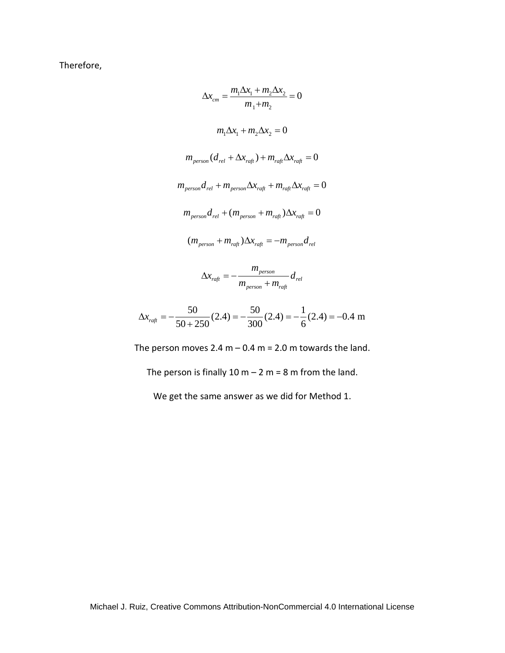Therefore,

$$
\Delta x_{cm} = \frac{m_1 \Delta x_1 + m_2 \Delta x_2}{m_1 + m_2} = 0
$$
  

$$
m_1 \Delta x_1 + m_2 \Delta x_2 = 0
$$
  

$$
m_{person}(d_{rel} + \Delta x_{raft}) + m_{raft} \Delta x_{raft} = 0
$$
  

$$
m_{person}d_{rel} + m_{person} \Delta x_{raft} + m_{raft} \Delta x_{raft} = 0
$$
  

$$
m_{person}d_{rel} + (m_{person} + m_{raft})\Delta x_{raft} = 0
$$
  

$$
(m_{person} + m_{raft})\Delta x_{raft} = -m_{person}d_{rel}
$$
  

$$
\Delta x_{raft} = -\frac{m_{person}}{m_{person} + m_{raft}}d_{rel}
$$

$$
\Delta x_{\text{raft}} = -\frac{50}{50 + 250} (2.4) = -\frac{50}{300} (2.4) = -\frac{1}{6} (2.4) = -0.4 \text{ m}
$$

The person moves 2.4 m  $-$  0.4 m = 2.0 m towards the land.

The person is finally  $10 m - 2 m = 8 m$  from the land.

We get the same answer as we did for Method 1.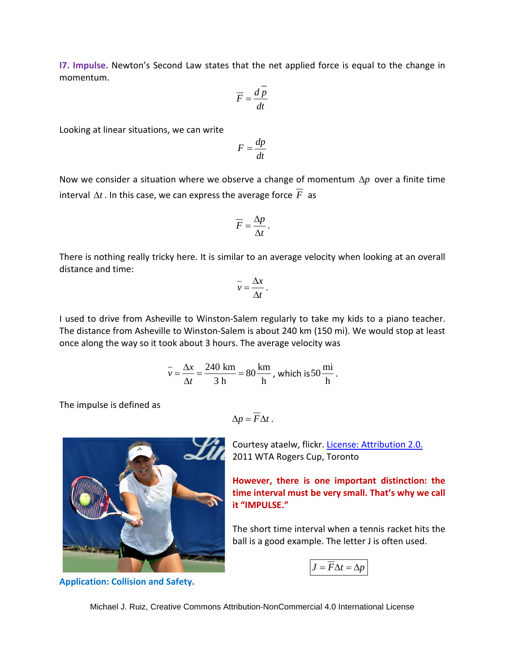**I7. Impulse.** Newton's Second Law states that the net applied force is equal to the change in momentum.

$$
\vec{F} = \frac{d\vec{p}}{dt}
$$

Looking at linear situations, we can write

$$
F = \frac{dp}{dt}
$$

Now we consider a situation where we observe a change of momentum  $\Delta p$  over a finite time interval  $\Delta t$  . In this case, we can express the average force  $\overline{F}$  as

$$
\overline{F} = \frac{\Delta p}{\Delta t}.
$$

There is nothing really tricky here. It is similar to an average velocity when looking at an overall distance and time:

$$
\overline{v} = \frac{\Delta x}{\Delta t} \, .
$$

I used to drive from Asheville to Winston-Salem regularly to take my kids to a piano teacher. The distance from Asheville to Winston-Salem is about 240 km (150 mi). We would stop at least once along the way so it took about 3 hours. The average velocity was

$$
\overline{v} = \frac{\Delta x}{\Delta t} = \frac{240 \text{ km}}{3 \text{ h}} = 80 \frac{\text{ km}}{\text{h}}
$$
, which is 50  $\frac{\text{mi}}{\text{h}}$ .

The impulse is defined as

$$
\Delta p = \overline{F} \Delta t \ .
$$



**Application: Collision and Safety.**

Courtesy ataelw, flickr. [License: Attribution 2.0.](https://creativecommons.org/licenses/by/2.0/deed.en) 2011 WTA Rogers Cup, Toronto

**However, there is one important distinction: the time interval must be very small. That's why we call it "IMPULSE."** 

The short time interval when a tennis racket hits the ball is a good example. The letter J is often used.

$$
J = \overline{F} \Delta t = \Delta p
$$

Michael J. Ruiz, Creative Commons Attribution-NonCommercial 4.0 International License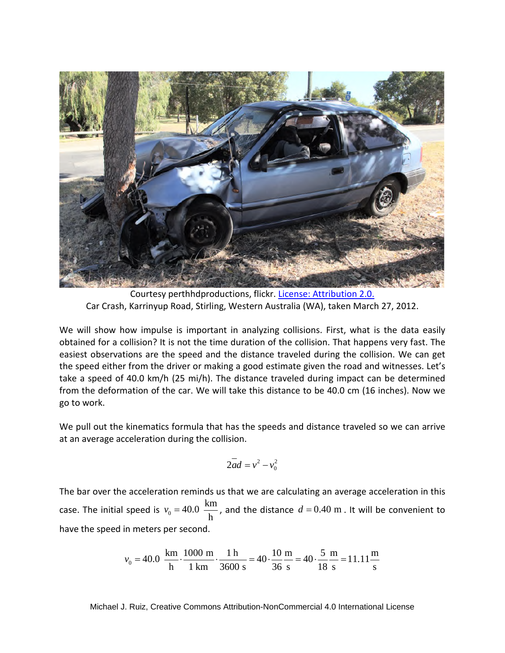

Courtesy perthhdproductions, flickr. [License: Attribution 2.0.](https://creativecommons.org/licenses/by/2.0/deed.en) Car Crash, Karrinyup Road, Stirling, Western Australia (WA), taken March 27, 2012.

We will show how impulse is important in analyzing collisions. First, what is the data easily obtained for a collision? It is not the time duration of the collision. That happens very fast. The easiest observations are the speed and the distance traveled during the collision. We can get the speed either from the driver or making a good estimate given the road and witnesses. Let's take a speed of 40.0 km/h (25 mi/h). The distance traveled during impact can be determined from the deformation of the car. We will take this distance to be 40.0 cm (16 inches). Now we go to work.

We pull out the kinematics formula that has the speeds and distance traveled so we can arrive at an average acceleration during the collision.

$$
2\overline{ad} = v^2 - v_0^2
$$

The bar over the acceleration reminds us that we are calculating an average acceleration in this case. The initial speed is  $v_0 = 40.0 \frac{\text{km}}{100}$ h  $v_0 = 40.0 \frac{\text{km}}{1}$ , and the distance  $d = 0.40 \text{ m}$ . It will be convenient to have the speed in meters per second.

$$
v_0 = 40.0 \frac{\text{km}}{\text{h}} \cdot \frac{1000 \text{ m}}{1 \text{ km}} \cdot \frac{1 \text{ h}}{3600 \text{ s}} = 40 \cdot \frac{10 \text{ m}}{36 \text{ s}} = 40 \cdot \frac{5 \text{ m}}{18 \text{ s}} = 11.11 \frac{\text{m}}{\text{s}}
$$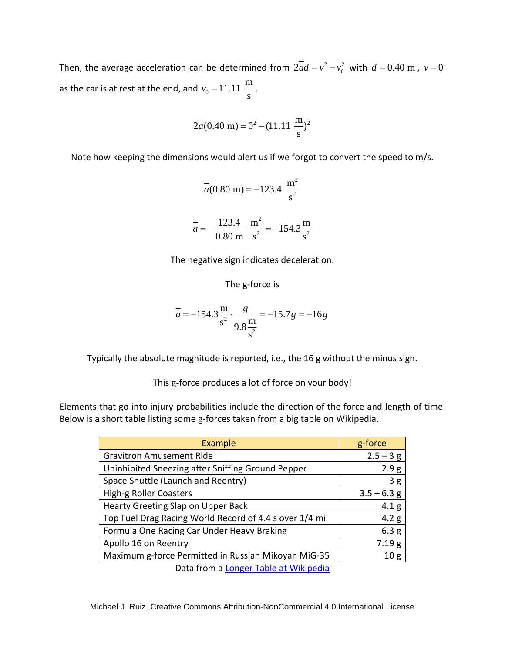Then, the average acceleration can be determined from  $2ad = v^2 - v_0^2$  with  $d = 0.40$  m,  $v = 0$ as the car is at rest at the end, and  $v_0 = 11.11 \frac{\text{m}}{\text{s}}$ s  $v_0 = 11.11 \frac{\text{m}}{\text{m}}$ .

$$
2\overline{a}(0.40 \text{ m}) = 0^2 - (11.11 \frac{\text{m}}{\text{s}})^2
$$

Note how keeping the dimensions would alert us if we forgot to convert the speed to m/s.

$$
\bar{a}(0.80 \text{ m}) = -123.4 \frac{\text{m}^2}{\text{s}^2}
$$

$$
\bar{a} = -\frac{123.4}{0.80 \text{ m}} \frac{\text{m}^2}{\text{s}^2} = -154.3 \frac{\text{m}}{\text{s}^2}
$$

The negative sign indicates deceleration.

The g-force is

$$
\overline{a} = -154.3 \frac{\text{m}}{\text{s}^2} \cdot \frac{g}{9.8 \frac{\text{m}}{\text{s}^2}} = -15.7 g = -16 g
$$

Typically the absolute magnitude is reported, i.e., the 16 g without the minus sign.

This g-force produces a lot of force on your body!

Elements that go into injury probabilities include the direction of the force and length of time. Below is a short table listing some g-forces taken from a big table on Wikipedia.

| Example                                                | g-force          |
|--------------------------------------------------------|------------------|
| <b>Gravitron Amusement Ride</b>                        | $2.5 - 3 g$      |
| Uninhibited Sneezing after Sniffing Ground Pepper      | 2.9g             |
| Space Shuttle (Launch and Reentry)                     | 3g               |
| High-g Roller Coasters                                 | $3.5 - 6.3$ g    |
| Hearty Greeting Slap on Upper Back                     | 4.1 <sub>g</sub> |
| Top Fuel Drag Racing World Record of 4.4 s over 1/4 mi | 4.2 g            |
| Formula One Racing Car Under Heavy Braking             | 6.3 g            |
| Apollo 16 on Reentry                                   | 7.19 g           |
| Maximum g-force Permitted in Russian Mikoyan MiG-35    | 10 <sub>g</sub>  |
| Data from a Longer Table at Wikipedia                  |                  |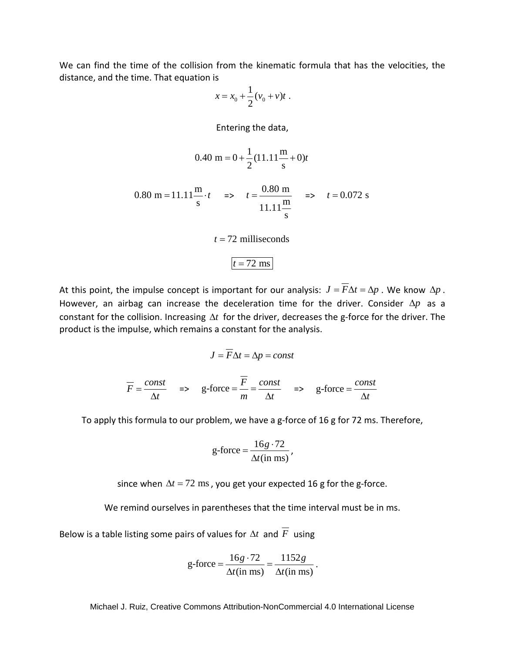We can find the time of the collision from the kinematic formula that has the velocities, the distance, and the time. That equation is

$$
x = x_0 + \frac{1}{2}(\nu_0 + \nu)t \; .
$$

Entering the data,

$$
0.40 \text{ m} = 0 + \frac{1}{2} (11.11 \frac{\text{m}}{\text{s}} + 0)t
$$

0.80 m = 11.11
$$
\frac{m}{s} \cdot t
$$
  $\Rightarrow$   $t = \frac{0.80 \text{ m}}{11.11 \frac{\text{m}}{\text{s}}}$   $\Rightarrow$   $t = 0.072 \text{ s}$ 

$$
t = 72
$$
 milliseconds

$$
t=72~\mathrm{ms}
$$

At this point, the impulse concept is important for our analysis:  $J = \overline{F}\Delta t = \Delta p$ . We know  $\Delta p$ . However, an airbag can increase the deceleration time for the driver. Consider  $\Delta p$  as a constant for the collision. Increasing  $\Delta t$  for the driver, decreases the g-force for the driver. The product is the impulse, which remains a constant for the analysis.

$$
J = F\Delta t = \Delta p = const
$$
  

$$
\overline{F} = \frac{const}{\Delta t} \quad \Rightarrow \quad g\text{-force} = \frac{\overline{F}}{m} = \frac{const}{\Delta t} \quad \Rightarrow \quad g\text{-force} = \frac{const}{\Delta t}
$$

To apply this formula to our problem, we have a g-force of 16 g for 72 ms. Therefore,

$$
g\text{-force} = \frac{16g \cdot 72}{\Delta t(\text{in ms})},
$$

since when  $\Delta t = 72$  ms, you get your expected 16 g for the g-force.

We remind ourselves in parentheses that the time interval must be in ms.

Below is a table listing some pairs of values for  $\Delta t$  and  $\overline{F}$  using

$$
g\text{-force} = \frac{16g \cdot 72}{\Delta t(\text{in ms})} = \frac{1152g}{\Delta t(\text{in ms})}.
$$